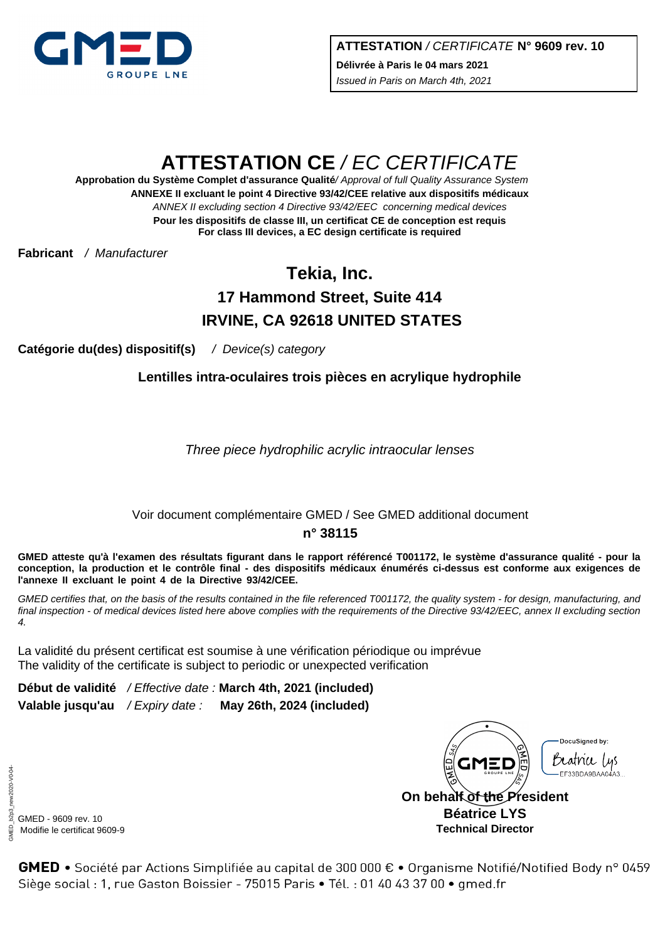

# **ATTESTATION CE** / EC CERTIFICATE

**ANNEXE II excluant le point 4 Directive 93/42/CEE relative aux dispositifs médicaux** ANNEX II excluding section 4 Directive 93/42/EEC concerning medical devices **Approbation du Système Complet d'assurance Qualité**/ Approval of full Quality Assurance System **Pour les dispositifs de classe III, un certificat CE de conception est requis For class III devices, a EC design certificate is required**

**Fabricant** / Manufacturer

## **Tekia, Inc. 17 Hammond Street, Suite 414 IRVINE, CA 92618 UNITED STATES**

**Catégorie du(des) dispositif(s)** / Device(s) category

**Lentilles intra-oculaires trois pièces en acrylique hydrophile**

Three piece hydrophilic acrylic intraocular lenses

## Voir document complémentaire GMED / See GMED additional document

#### **n° 38115**

**GMED atteste qu'à l'examen des résultats figurant dans le rapport référencé T001172, le système d'assurance qualité - pour la conception, la production et le contrôle final - des dispositifs médicaux énumérés ci-dessus est conforme aux exigences de l'annexe II excluant le point 4 de la Directive 93/42/CEE.**

GMED certifies that, on the basis of the results contained in the file referenced T001172, the quality system - for design, manufacturing, and final inspection - of medical devices listed here above complies with the requirements of the Directive 93/42/EEC, annex II excluding section 4.

La validité du présent certificat est soumise à une vérification périodique ou imprévue The validity of the certificate is subject to periodic or unexpected verification

**Début de validité** / Effective date : **March 4th, 2021 (included) Valable jusqu'au** / Expiry date : **May 26th, 2024 (included)**

DocuSianed by: Beathee Lus FF33BDA9BAA0 **On behalf of the President Béatrice LYS**

**Technical Director**

GMED - 9609 rev. 10 Modifie le certificat 9609-9

GMED • Société par Actions Simplifiée au capital de 300 000 € • Organisme Notifié/Notified Body n° 0459 Siège social : 1, rue Gaston Boissier - 75015 Paris · Tél. : 01 40 43 37 00 · gmed.fr